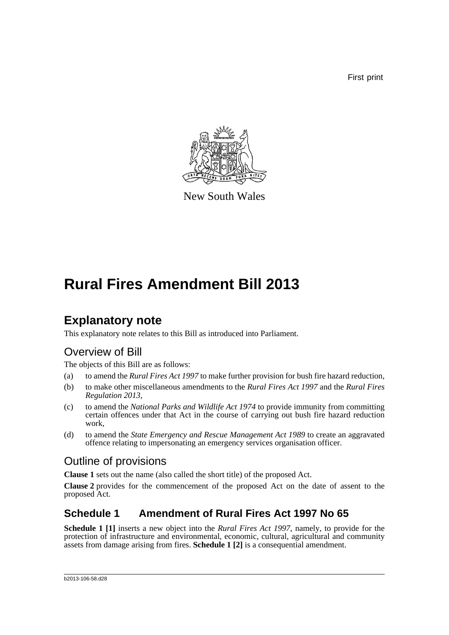First print



New South Wales

# **Rural Fires Amendment Bill 2013**

### **Explanatory note**

This explanatory note relates to this Bill as introduced into Parliament.

### Overview of Bill

The objects of this Bill are as follows:

- (a) to amend the *Rural Fires Act 1997* to make further provision for bush fire hazard reduction,
- (b) to make other miscellaneous amendments to the *Rural Fires Act 1997* and the *Rural Fires Regulation 2013*,
- (c) to amend the *National Parks and Wildlife Act 1974* to provide immunity from committing certain offences under that Act in the course of carrying out bush fire hazard reduction work,
- (d) to amend the *State Emergency and Rescue Management Act 1989* to create an aggravated offence relating to impersonating an emergency services organisation officer.

#### Outline of provisions

**Clause 1** sets out the name (also called the short title) of the proposed Act.

**Clause 2** provides for the commencement of the proposed Act on the date of assent to the proposed Act.

#### **Schedule 1 Amendment of Rural Fires Act 1997 No 65**

**Schedule 1 [1]** inserts a new object into the *Rural Fires Act 1997*, namely, to provide for the protection of infrastructure and environmental, economic, cultural, agricultural and community assets from damage arising from fires. **Schedule 1 [2]** is a consequential amendment.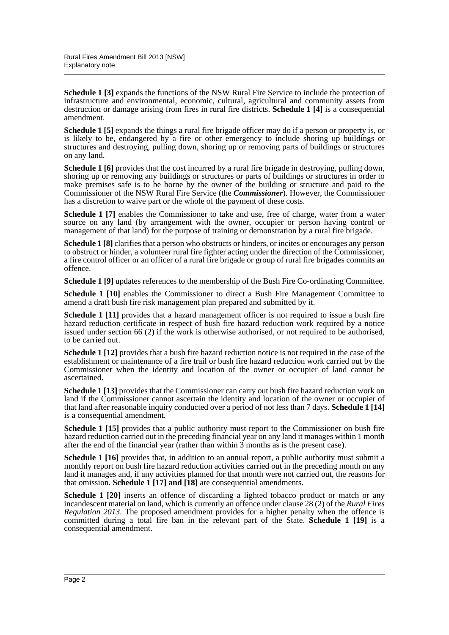**Schedule 1 [3]** expands the functions of the NSW Rural Fire Service to include the protection of infrastructure and environmental, economic, cultural, agricultural and community assets from destruction or damage arising from fires in rural fire districts. **Schedule 1 [4]** is a consequential amendment.

**Schedule 1 [5]** expands the things a rural fire brigade officer may do if a person or property is, or is likely to be, endangered by a fire or other emergency to include shoring up buildings or structures and destroying, pulling down, shoring up or removing parts of buildings or structures on any land.

**Schedule 1 [6]** provides that the cost incurred by a rural fire brigade in destroying, pulling down, shoring up or removing any buildings or structures or parts of buildings or structures in order to make premises safe is to be borne by the owner of the building or structure and paid to the Commissioner of the NSW Rural Fire Service (the *Commissioner*). However, the Commissioner has a discretion to waive part or the whole of the payment of these costs.

**Schedule 1 [7]** enables the Commissioner to take and use, free of charge, water from a water source on any land (by arrangement with the owner, occupier or person having control or management of that land) for the purpose of training or demonstration by a rural fire brigade.

**Schedule 1 [8]** clarifies that a person who obstructs or hinders, or incites or encourages any person to obstruct or hinder, a volunteer rural fire fighter acting under the direction of the Commissioner, a fire control officer or an officer of a rural fire brigade or group of rural fire brigades commits an offence.

**Schedule 1 [9]** updates references to the membership of the Bush Fire Co-ordinating Committee.

**Schedule 1 [10]** enables the Commissioner to direct a Bush Fire Management Committee to amend a draft bush fire risk management plan prepared and submitted by it.

**Schedule 1** [11] provides that a hazard management officer is not required to issue a bush fire hazard reduction certificate in respect of bush fire hazard reduction work required by a notice issued under section 66 (2) if the work is otherwise authorised, or not required to be authorised, to be carried out.

**Schedule 1 [12]** provides that a bush fire hazard reduction notice is not required in the case of the establishment or maintenance of a fire trail or bush fire hazard reduction work carried out by the Commissioner when the identity and location of the owner or occupier of land cannot be ascertained.

**Schedule 1 [13]** provides that the Commissioner can carry out bush fire hazard reduction work on land if the Commissioner cannot ascertain the identity and location of the owner or occupier of that land after reasonable inquiry conducted over a period of not less than 7 days. **Schedule 1 [14]** is a consequential amendment.

**Schedule 1 [15]** provides that a public authority must report to the Commissioner on bush fire hazard reduction carried out in the preceding financial year on any land it manages within 1 month after the end of the financial year (rather than within 3 months as is the present case).

**Schedule 1 [16]** provides that, in addition to an annual report, a public authority must submit a monthly report on bush fire hazard reduction activities carried out in the preceding month on any land it manages and, if any activities planned for that month were not carried out, the reasons for that omission. **Schedule 1 [17] and [18]** are consequential amendments.

**Schedule 1 [20]** inserts an offence of discarding a lighted tobacco product or match or any incandescent material on land, which is currently an offence under clause 28 (2) of the *Rural Fires Regulation 2013*. The proposed amendment provides for a higher penalty when the offence is committed during a total fire ban in the relevant part of the State. **Schedule 1 [19]** is a consequential amendment.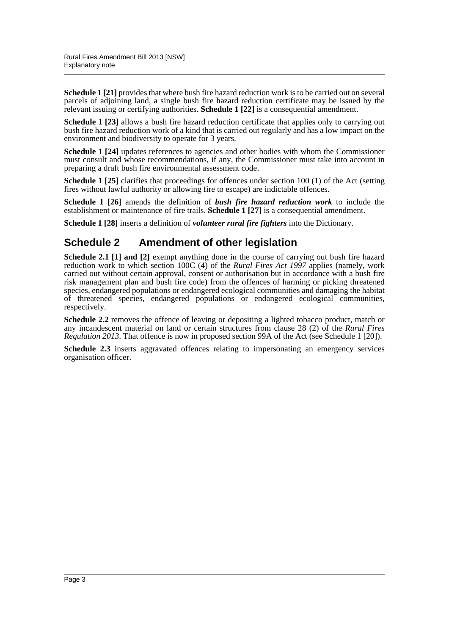**Schedule 1 [21]** provides that where bush fire hazard reduction work is to be carried out on several parcels of adjoining land, a single bush fire hazard reduction certificate may be issued by the relevant issuing or certifying authorities. **Schedule 1 [22]** is a consequential amendment.

**Schedule 1 [23]** allows a bush fire hazard reduction certificate that applies only to carrying out bush fire hazard reduction work of a kind that is carried out regularly and has a low impact on the environment and biodiversity to operate for 3 years.

**Schedule 1 [24]** updates references to agencies and other bodies with whom the Commissioner must consult and whose recommendations, if any, the Commissioner must take into account in preparing a draft bush fire environmental assessment code.

**Schedule 1 [25]** clarifies that proceedings for offences under section 100 (1) of the Act (setting fires without lawful authority or allowing fire to escape) are indictable offences.

**Schedule 1 [26]** amends the definition of *bush fire hazard reduction work* to include the establishment or maintenance of fire trails. **Schedule 1 [27]** is a consequential amendment.

**Schedule 1 [28]** inserts a definition of *volunteer rural fire fighters* into the Dictionary.

#### **Schedule 2 Amendment of other legislation**

**Schedule 2.1 [1] and [2]** exempt anything done in the course of carrying out bush fire hazard reduction work to which section 100C (4) of the *Rural Fires Act 1997* applies (namely, work carried out without certain approval, consent or authorisation but in accordance with a bush fire risk management plan and bush fire code) from the offences of harming or picking threatened species, endangered populations or endangered ecological communities and damaging the habitat of threatened species, endangered populations or endangered ecological communities, respectively.

**Schedule 2.2** removes the offence of leaving or depositing a lighted tobacco product, match or any incandescent material on land or certain structures from clause 28 (2) of the *Rural Fires Regulation 2013*. That offence is now in proposed section 99A of the Act (see Schedule 1 [20]).

**Schedule 2.3** inserts aggravated offences relating to impersonating an emergency services organisation officer.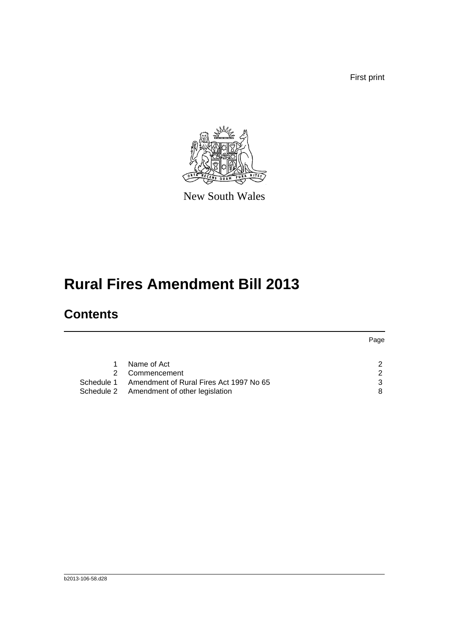First print



New South Wales

# **Rural Fires Amendment Bill 2013**

### **Contents**

|            |                                           | Page |
|------------|-------------------------------------------|------|
|            |                                           |      |
|            | Name of Act                               | 2    |
| 2.         | Commencement                              | 2    |
| Schedule 1 | Amendment of Rural Fires Act 1997 No 65   | 3    |
|            | Schedule 2 Amendment of other legislation | 8    |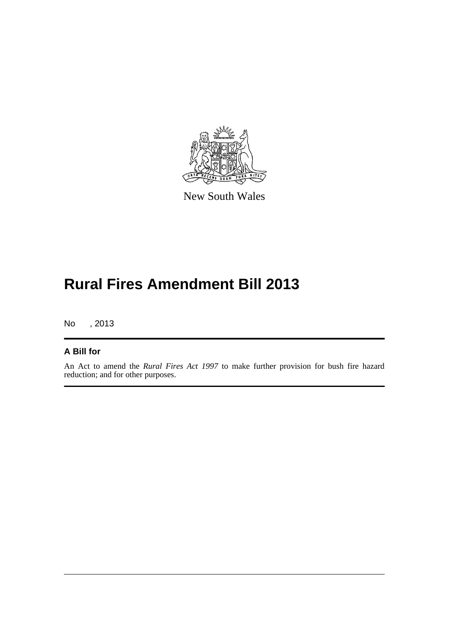

New South Wales

## **Rural Fires Amendment Bill 2013**

No , 2013

#### **A Bill for**

An Act to amend the *Rural Fires Act 1997* to make further provision for bush fire hazard reduction; and for other purposes.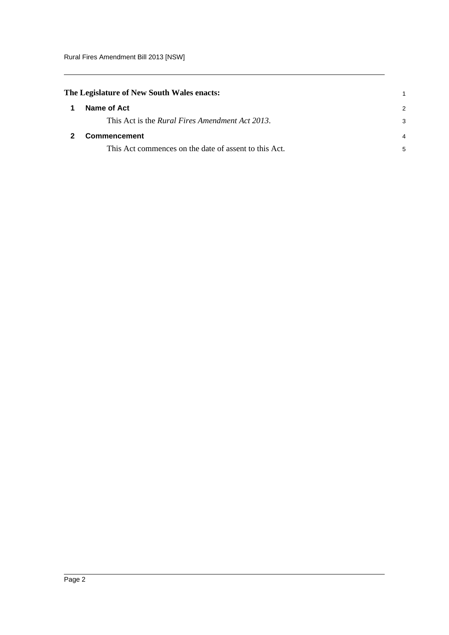<span id="page-5-1"></span><span id="page-5-0"></span>

| The Legislature of New South Wales enacts: |                                                         |   |
|--------------------------------------------|---------------------------------------------------------|---|
| 1                                          | Name of Act                                             | 2 |
|                                            | This Act is the <i>Rural Fires Amendment Act 2013</i> . |   |
|                                            | <b>Commencement</b>                                     | 4 |
|                                            | This Act commences on the date of assent to this Act.   | 5 |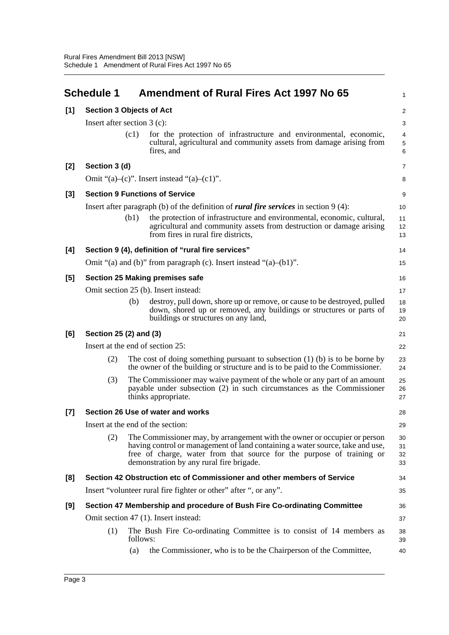<span id="page-6-0"></span>

|       | <b>Schedule 1</b>               |                                                                   | <b>Amendment of Rural Fires Act 1997 No 65</b>                                                                                                                                                                                                                                  | 1                     |  |  |  |
|-------|---------------------------------|-------------------------------------------------------------------|---------------------------------------------------------------------------------------------------------------------------------------------------------------------------------------------------------------------------------------------------------------------------------|-----------------------|--|--|--|
| [1]   | <b>Section 3 Objects of Act</b> |                                                                   |                                                                                                                                                                                                                                                                                 |                       |  |  |  |
|       | Insert after section $3$ (c):   |                                                                   |                                                                                                                                                                                                                                                                                 |                       |  |  |  |
|       |                                 | (c1)                                                              | for the protection of infrastructure and environmental, economic,<br>cultural, agricultural and community assets from damage arising from<br>fires, and                                                                                                                         | 4<br>$\mathbf 5$<br>6 |  |  |  |
| [2]   | Section 3 (d)                   |                                                                   |                                                                                                                                                                                                                                                                                 | 7                     |  |  |  |
|       |                                 |                                                                   | Omit "(a)–(c)". Insert instead "(a)–(c1)".                                                                                                                                                                                                                                      | 8                     |  |  |  |
| $[3]$ |                                 |                                                                   | <b>Section 9 Functions of Service</b>                                                                                                                                                                                                                                           | 9                     |  |  |  |
|       |                                 |                                                                   | Insert after paragraph (b) of the definition of <i>rural fire services</i> in section $9(4)$ :                                                                                                                                                                                  | 10                    |  |  |  |
|       |                                 | (b1)                                                              | the protection of infrastructure and environmental, economic, cultural,<br>agricultural and community assets from destruction or damage arising<br>from fires in rural fire districts,                                                                                          | 11<br>12<br>13        |  |  |  |
| [4]   |                                 |                                                                   | Section 9 (4), definition of "rural fire services"                                                                                                                                                                                                                              | 14                    |  |  |  |
|       |                                 | Omit "(a) and (b)" from paragraph (c). Insert instead "(a)-(b1)". |                                                                                                                                                                                                                                                                                 |                       |  |  |  |
| [5]   |                                 |                                                                   | <b>Section 25 Making premises safe</b>                                                                                                                                                                                                                                          | 16                    |  |  |  |
|       |                                 | Omit section 25 (b). Insert instead:                              |                                                                                                                                                                                                                                                                                 |                       |  |  |  |
|       |                                 | (b)                                                               | destroy, pull down, shore up or remove, or cause to be destroyed, pulled<br>down, shored up or removed, any buildings or structures or parts of<br>buildings or structures on any land,                                                                                         | 18<br>19<br>20        |  |  |  |
| [6]   | Section 25 (2) and (3)          |                                                                   |                                                                                                                                                                                                                                                                                 | 21                    |  |  |  |
|       |                                 |                                                                   | Insert at the end of section 25:                                                                                                                                                                                                                                                | 22                    |  |  |  |
|       | (2)                             |                                                                   | The cost of doing something pursuant to subsection $(1)$ (b) is to be borne by<br>the owner of the building or structure and is to be paid to the Commissioner.                                                                                                                 | 23<br>24              |  |  |  |
|       | (3)                             |                                                                   | The Commissioner may waive payment of the whole or any part of an amount<br>payable under subsection (2) in such circumstances as the Commissioner<br>thinks appropriate.                                                                                                       | 25<br>26<br>27        |  |  |  |
| $[7]$ |                                 |                                                                   | Section 26 Use of water and works                                                                                                                                                                                                                                               | 28                    |  |  |  |
|       |                                 |                                                                   | Insert at the end of the section:                                                                                                                                                                                                                                               | 29                    |  |  |  |
|       | (2)                             |                                                                   | The Commissioner may, by arrangement with the owner or occupier or person<br>having control or management of land containing a water source, take and use,<br>free of charge, water from that source for the purpose of training or<br>demonstration by any rural fire brigade. | 30<br>31<br>32<br>33  |  |  |  |
| [8]   |                                 |                                                                   | Section 42 Obstruction etc of Commissioner and other members of Service                                                                                                                                                                                                         | 34                    |  |  |  |
|       |                                 |                                                                   | Insert "volunteer rural fire fighter or other" after ", or any".                                                                                                                                                                                                                | 35                    |  |  |  |
| [9]   |                                 |                                                                   | Section 47 Membership and procedure of Bush Fire Co-ordinating Committee                                                                                                                                                                                                        | 36                    |  |  |  |
|       |                                 |                                                                   | Omit section 47 (1). Insert instead:                                                                                                                                                                                                                                            | 37                    |  |  |  |
|       | (1)                             | follows:                                                          | The Bush Fire Co-ordinating Committee is to consist of 14 members as                                                                                                                                                                                                            | 38<br>39              |  |  |  |
|       |                                 | (a)                                                               | the Commissioner, who is to be the Chairperson of the Committee,                                                                                                                                                                                                                | 40                    |  |  |  |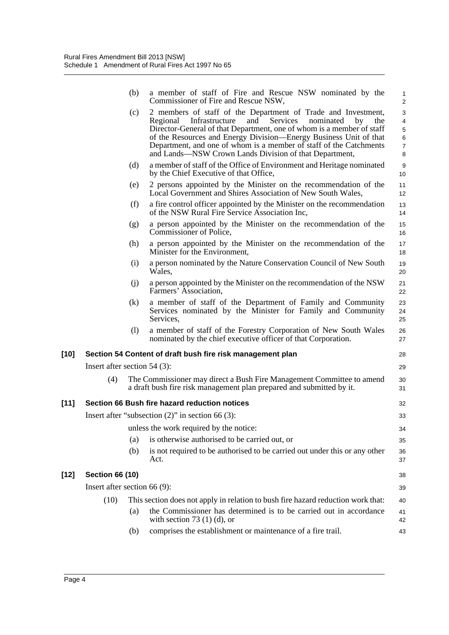|        |                                                        | (b) | a member of staff of Fire and Rescue NSW nominated by the<br>Commissioner of Fire and Rescue NSW,                                                                                                                                                                                                                                                                                                                      | 1<br>$\overline{c}$                                       |  |
|--------|--------------------------------------------------------|-----|------------------------------------------------------------------------------------------------------------------------------------------------------------------------------------------------------------------------------------------------------------------------------------------------------------------------------------------------------------------------------------------------------------------------|-----------------------------------------------------------|--|
|        |                                                        | (c) | 2 members of staff of the Department of Trade and Investment,<br>Infrastructure<br>and<br>Services<br>nominated<br>Regional<br>by<br>the<br>Director-General of that Department, one of whom is a member of staff<br>of the Resources and Energy Division—Energy Business Unit of that<br>Department, and one of whom is a member of staff of the Catchments<br>and Lands—NSW Crown Lands Division of that Department, | 3<br>4<br>$\mathbf 5$<br>$\,6\,$<br>$\boldsymbol{7}$<br>8 |  |
|        |                                                        | (d) | a member of staff of the Office of Environment and Heritage nominated<br>by the Chief Executive of that Office,                                                                                                                                                                                                                                                                                                        | 9<br>10                                                   |  |
|        |                                                        | (e) | 2 persons appointed by the Minister on the recommendation of the<br>Local Government and Shires Association of New South Wales,                                                                                                                                                                                                                                                                                        | 11<br>12                                                  |  |
|        |                                                        | (f) | a fire control officer appointed by the Minister on the recommendation<br>of the NSW Rural Fire Service Association Inc,                                                                                                                                                                                                                                                                                               | 13<br>14                                                  |  |
|        |                                                        | (g) | a person appointed by the Minister on the recommendation of the<br>Commissioner of Police,                                                                                                                                                                                                                                                                                                                             | 15<br>16                                                  |  |
|        |                                                        | (h) | a person appointed by the Minister on the recommendation of the<br>Minister for the Environment,                                                                                                                                                                                                                                                                                                                       | 17<br>18                                                  |  |
|        |                                                        | (i) | a person nominated by the Nature Conservation Council of New South<br>Wales,                                                                                                                                                                                                                                                                                                                                           | 19<br>20                                                  |  |
|        |                                                        | (j) | a person appointed by the Minister on the recommendation of the NSW<br>Farmers' Association,                                                                                                                                                                                                                                                                                                                           | 21<br>22                                                  |  |
|        |                                                        | (k) | a member of staff of the Department of Family and Community<br>Services nominated by the Minister for Family and Community<br>Services,                                                                                                                                                                                                                                                                                | 23<br>24<br>25                                            |  |
|        |                                                        | (1) | a member of staff of the Forestry Corporation of New South Wales<br>nominated by the chief executive officer of that Corporation.                                                                                                                                                                                                                                                                                      | 26<br>27                                                  |  |
| $[10]$ |                                                        |     | Section 54 Content of draft bush fire risk management plan                                                                                                                                                                                                                                                                                                                                                             | 28                                                        |  |
|        | Insert after section $54$ (3):                         |     |                                                                                                                                                                                                                                                                                                                                                                                                                        | 29                                                        |  |
|        | (4)                                                    |     | The Commissioner may direct a Bush Fire Management Committee to amend<br>a draft bush fire risk management plan prepared and submitted by it.                                                                                                                                                                                                                                                                          | 30<br>31                                                  |  |
| $[11]$ |                                                        |     | Section 66 Bush fire hazard reduction notices                                                                                                                                                                                                                                                                                                                                                                          | 32                                                        |  |
|        | Insert after "subsection $(2)$ " in section 66 $(3)$ : |     |                                                                                                                                                                                                                                                                                                                                                                                                                        |                                                           |  |
|        |                                                        |     | unless the work required by the notice:                                                                                                                                                                                                                                                                                                                                                                                | 34                                                        |  |
|        |                                                        | (a) | is otherwise authorised to be carried out, or                                                                                                                                                                                                                                                                                                                                                                          | 35                                                        |  |
|        |                                                        | (b) | is not required to be authorised to be carried out under this or any other<br>Act.                                                                                                                                                                                                                                                                                                                                     | 36<br>37                                                  |  |
| $[12]$ | <b>Section 66 (10)</b>                                 |     |                                                                                                                                                                                                                                                                                                                                                                                                                        |                                                           |  |
|        | Insert after section 66 (9):                           |     |                                                                                                                                                                                                                                                                                                                                                                                                                        | 39                                                        |  |
|        | (10)                                                   |     | This section does not apply in relation to bush fire hazard reduction work that:                                                                                                                                                                                                                                                                                                                                       | 40                                                        |  |
|        |                                                        | (a) | the Commissioner has determined is to be carried out in accordance<br>with section 73 $(1)$ (d), or                                                                                                                                                                                                                                                                                                                    | 41<br>42                                                  |  |
|        |                                                        | (b) | comprises the establishment or maintenance of a fire trail.                                                                                                                                                                                                                                                                                                                                                            | 43                                                        |  |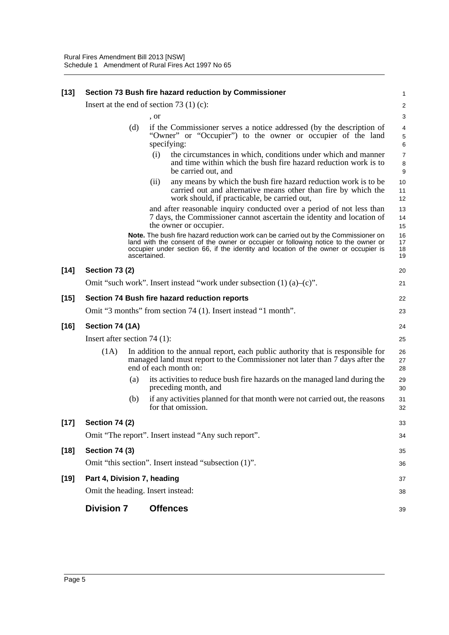| <b>Section 74 (2)</b><br><b>Section 74 (3)</b> |     | Omit "The report". Insert instead "Any such report".                                                                                                                                                                                                                             | 34                                                                                                  |
|------------------------------------------------|-----|----------------------------------------------------------------------------------------------------------------------------------------------------------------------------------------------------------------------------------------------------------------------------------|-----------------------------------------------------------------------------------------------------|
|                                                |     |                                                                                                                                                                                                                                                                                  | 33                                                                                                  |
|                                                |     |                                                                                                                                                                                                                                                                                  |                                                                                                     |
|                                                | (b) | if any activities planned for that month were not carried out, the reasons<br>for that omission.                                                                                                                                                                                 | 31<br>32                                                                                            |
|                                                | (a) | its activities to reduce bush fire hazards on the managed land during the<br>preceding month, and                                                                                                                                                                                | 29<br>30                                                                                            |
| (1A)                                           |     | In addition to the annual report, each public authority that is responsible for<br>managed land must report to the Commissioner not later than 7 days after the<br>end of each month on:                                                                                         | 26<br>27<br>28                                                                                      |
| Insert after section 74 $(1)$ :                |     |                                                                                                                                                                                                                                                                                  | 25                                                                                                  |
| Section 74 (1A)                                |     |                                                                                                                                                                                                                                                                                  | 24                                                                                                  |
|                                                |     | Omit "3 months" from section 74 (1). Insert instead "1 month".                                                                                                                                                                                                                   | 23                                                                                                  |
|                                                |     | Section 74 Bush fire hazard reduction reports                                                                                                                                                                                                                                    | 22                                                                                                  |
|                                                |     | Omit "such work". Insert instead "work under subsection $(1)$ $(a)$ - $(c)$ ".                                                                                                                                                                                                   | 21                                                                                                  |
| <b>Section 73 (2)</b>                          |     |                                                                                                                                                                                                                                                                                  | 20                                                                                                  |
|                                                |     | Note. The bush fire hazard reduction work can be carried out by the Commissioner on<br>land with the consent of the owner or occupier or following notice to the owner or<br>occupier under section 66, if the identity and location of the owner or occupier is<br>ascertained. | 16<br>17<br>18<br>19                                                                                |
|                                                |     | and after reasonable inquiry conducted over a period of not less than<br>7 days, the Commissioner cannot ascertain the identity and location of<br>the owner or occupier.                                                                                                        | 13<br>14<br>15                                                                                      |
|                                                |     | any means by which the bush fire hazard reduction work is to be<br>(ii)<br>carried out and alternative means other than fire by which the<br>work should, if practicable, be carried out,                                                                                        | 10<br>11<br>12                                                                                      |
|                                                |     | specifying:<br>the circumstances in which, conditions under which and manner<br>(i)<br>and time within which the bush fire hazard reduction work is to<br>be carried out, and                                                                                                    | $\,6\,$<br>$\overline{7}$<br>$\,$ 8 $\,$<br>9                                                       |
|                                                | (d) | if the Commissioner serves a notice addressed (by the description of<br>"Owner" or "Occupier") to the owner or occupier of the land                                                                                                                                              | 4<br>$\mathbf 5$                                                                                    |
|                                                |     | , or                                                                                                                                                                                                                                                                             | $\overline{\mathbf{c}}$<br>3                                                                        |
|                                                |     |                                                                                                                                                                                                                                                                                  | 1                                                                                                   |
|                                                |     |                                                                                                                                                                                                                                                                                  | Section 73 Bush fire hazard reduction by Commissioner<br>Insert at the end of section 73 $(1)$ (c): |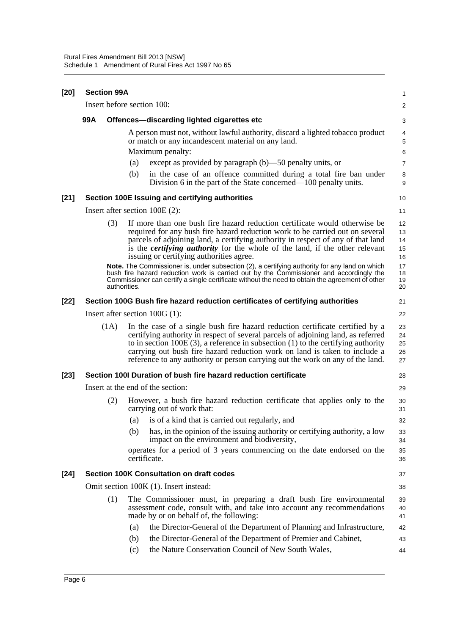| $[20]$ | <b>Section 99A</b>                     |                                  |            |                                                                                                                                                                                                                                                                                                                                                                                                                                                                                                                                                                               | 1                                      |
|--------|----------------------------------------|----------------------------------|------------|-------------------------------------------------------------------------------------------------------------------------------------------------------------------------------------------------------------------------------------------------------------------------------------------------------------------------------------------------------------------------------------------------------------------------------------------------------------------------------------------------------------------------------------------------------------------------------|----------------------------------------|
|        |                                        |                                  |            | Insert before section 100:                                                                                                                                                                                                                                                                                                                                                                                                                                                                                                                                                    | 2                                      |
|        | 99A                                    |                                  |            | Offences-discarding lighted cigarettes etc                                                                                                                                                                                                                                                                                                                                                                                                                                                                                                                                    | 3                                      |
|        |                                        |                                  |            | A person must not, without lawful authority, discard a lighted tobacco product<br>or match or any incandescent material on any land.                                                                                                                                                                                                                                                                                                                                                                                                                                          | 4<br>5                                 |
|        |                                        |                                  |            | Maximum penalty:                                                                                                                                                                                                                                                                                                                                                                                                                                                                                                                                                              | 6                                      |
|        |                                        |                                  | (a)        | except as provided by paragraph $(b)$ —50 penalty units, or                                                                                                                                                                                                                                                                                                                                                                                                                                                                                                                   | $\overline{7}$                         |
|        |                                        |                                  | (b)        | in the case of an offence committed during a total fire ban under<br>Division 6 in the part of the State concerned—100 penalty units.                                                                                                                                                                                                                                                                                                                                                                                                                                         | 8<br>9                                 |
| $[21]$ |                                        |                                  |            | Section 100E Issuing and certifying authorities                                                                                                                                                                                                                                                                                                                                                                                                                                                                                                                               | 10                                     |
|        |                                        | Insert after section $100E(2)$ : |            |                                                                                                                                                                                                                                                                                                                                                                                                                                                                                                                                                                               |                                        |
|        |                                        | (3)                              |            | If more than one bush fire hazard reduction certificate would otherwise be<br>required for any bush fire hazard reduction work to be carried out on several<br>parcels of adjoining land, a certifying authority in respect of any of that land<br>is the <i>certifying authority</i> for the whole of the land, if the other relevant<br>issuing or certifying authorities agree.<br>Note. The Commissioner is, under subsection (2), a certifying authority for any land on which<br>bush fire hazard reduction work is carried out by the Commissioner and accordingly the | 12<br>13<br>14<br>15<br>16<br>17<br>18 |
|        |                                        | authorities.                     |            | Commissioner can certify a single certificate without the need to obtain the agreement of other                                                                                                                                                                                                                                                                                                                                                                                                                                                                               | 19<br>20                               |
| $[22]$ |                                        |                                  |            | Section 100G Bush fire hazard reduction certificates of certifying authorities                                                                                                                                                                                                                                                                                                                                                                                                                                                                                                | 21                                     |
|        | Insert after section $100G(1)$ :       |                                  |            |                                                                                                                                                                                                                                                                                                                                                                                                                                                                                                                                                                               | 22                                     |
|        |                                        | (1A)                             |            | In the case of a single bush fire hazard reduction certificate certified by a<br>certifying authority in respect of several parcels of adjoining land, as referred<br>to in section $100E(3)$ , a reference in subsection $(1)$ to the certifying authority<br>carrying out bush fire hazard reduction work on land is taken to include a<br>reference to any authority or person carrying out the work on any of the land.                                                                                                                                                   | 23<br>24<br>25<br>26<br>27             |
| $[23]$ |                                        |                                  |            | Section 100I Duration of bush fire hazard reduction certificate                                                                                                                                                                                                                                                                                                                                                                                                                                                                                                               | 28                                     |
|        | Insert at the end of the section:      |                                  |            |                                                                                                                                                                                                                                                                                                                                                                                                                                                                                                                                                                               | 29                                     |
|        |                                        | (2)                              |            | However, a bush fire hazard reduction certificate that applies only to the<br>carrying out of work that:                                                                                                                                                                                                                                                                                                                                                                                                                                                                      | 30<br>31                               |
|        |                                        |                                  |            | (a) is of a kind that is carried out regularly, and                                                                                                                                                                                                                                                                                                                                                                                                                                                                                                                           | 32                                     |
|        |                                        |                                  | (b)        | has, in the opinion of the issuing authority or certifying authority, a low<br>impact on the environment and biodiversity,                                                                                                                                                                                                                                                                                                                                                                                                                                                    | 33<br>34                               |
|        |                                        |                                  |            | operates for a period of 3 years commencing on the date endorsed on the<br>certificate.                                                                                                                                                                                                                                                                                                                                                                                                                                                                                       | 35<br>36                               |
| $[24]$ |                                        |                                  |            | <b>Section 100K Consultation on draft codes</b>                                                                                                                                                                                                                                                                                                                                                                                                                                                                                                                               | 37                                     |
|        | Omit section 100K (1). Insert instead: |                                  |            |                                                                                                                                                                                                                                                                                                                                                                                                                                                                                                                                                                               | 38                                     |
|        |                                        | (1)                              |            | The Commissioner must, in preparing a draft bush fire environmental<br>assessment code, consult with, and take into account any recommendations<br>made by or on behalf of, the following:                                                                                                                                                                                                                                                                                                                                                                                    | 39<br>40<br>41                         |
|        |                                        |                                  | (a)        | the Director-General of the Department of Planning and Infrastructure,                                                                                                                                                                                                                                                                                                                                                                                                                                                                                                        | 42                                     |
|        |                                        |                                  | (b)<br>(c) | the Director-General of the Department of Premier and Cabinet,<br>the Nature Conservation Council of New South Wales,                                                                                                                                                                                                                                                                                                                                                                                                                                                         | 43<br>44                               |
|        |                                        |                                  |            |                                                                                                                                                                                                                                                                                                                                                                                                                                                                                                                                                                               |                                        |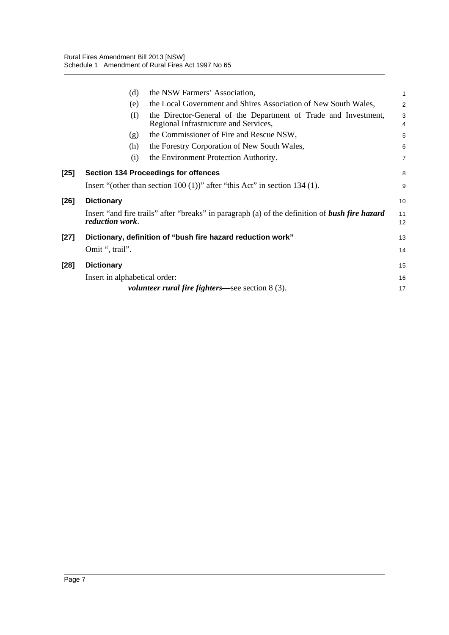|        | (d)                                                         | the NSW Farmers' Association,                                                                         |                |
|--------|-------------------------------------------------------------|-------------------------------------------------------------------------------------------------------|----------------|
|        |                                                             |                                                                                                       | $\mathbf{1}$   |
|        | (e)                                                         | the Local Government and Shires Association of New South Wales,                                       | 2              |
|        | (f)                                                         | the Director-General of the Department of Trade and Investment,                                       | 3              |
|        |                                                             | Regional Infrastructure and Services,                                                                 | $\overline{4}$ |
|        | (g)                                                         | the Commissioner of Fire and Rescue NSW,                                                              | 5              |
|        | (h)                                                         | the Forestry Corporation of New South Wales,                                                          | 6              |
|        | (i)                                                         | the Environment Protection Authority.                                                                 | $\overline{7}$ |
| $[25]$ | <b>Section 134 Proceedings for offences</b>                 |                                                                                                       |                |
|        |                                                             | Insert "(other than section $100(1)$ )" after "this Act" in section 134 (1).                          | 9              |
| $[26]$ | <b>Dictionary</b>                                           |                                                                                                       |                |
|        | <i>reduction work.</i>                                      | Insert "and fire trails" after "breaks" in paragraph (a) of the definition of <b>bush fire hazard</b> | 11<br>12       |
| $[27]$ | Dictionary, definition of "bush fire hazard reduction work" |                                                                                                       |                |
|        | Omit ", trail".                                             |                                                                                                       | 14             |
| $[28]$ | <b>Dictionary</b>                                           |                                                                                                       | 15             |
|        | Insert in alphabetical order:                               |                                                                                                       | 16             |
|        |                                                             | <i>volunteer rural fire fighters—see section 8 (3).</i>                                               | 17             |
|        |                                                             |                                                                                                       |                |